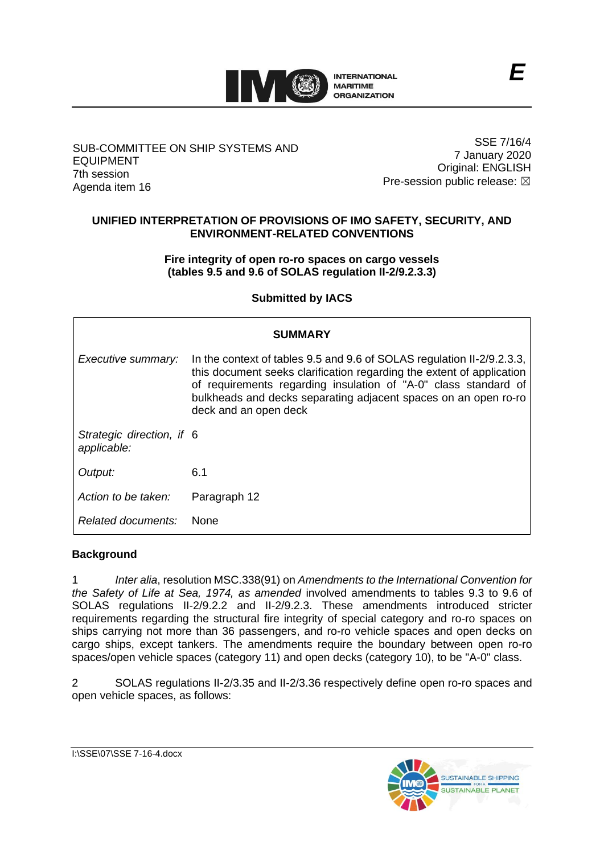

## SUB-COMMITTEE ON SHIP SYSTEMS AND EQUIPMENT 7th session Agenda item 16

SSE 7/16/4 7 January 2020 Original: ENGLISH Pre-session public release:  $\boxtimes$ 

# **UNIFIED INTERPRETATION OF PROVISIONS OF IMO SAFETY, SECURITY, AND ENVIRONMENT-RELATED CONVENTIONS**

# **Fire integrity of open ro-ro spaces on cargo vessels (tables 9.5 and 9.6 of SOLAS regulation II-2/9.2.3.3)**

**Submitted by IACS**

| <b>SUMMARY</b>                           |                                                                                                                                                                                                                                                                                                                |
|------------------------------------------|----------------------------------------------------------------------------------------------------------------------------------------------------------------------------------------------------------------------------------------------------------------------------------------------------------------|
| Executive summary:                       | In the context of tables 9.5 and 9.6 of SOLAS regulation II-2/9.2.3.3,<br>this document seeks clarification regarding the extent of application<br>of requirements regarding insulation of "A-0" class standard of<br>bulkheads and decks separating adjacent spaces on an open ro-ro<br>deck and an open deck |
| Strategic direction, if 6<br>applicable: |                                                                                                                                                                                                                                                                                                                |
| Output:                                  | 6.1                                                                                                                                                                                                                                                                                                            |
| Action to be taken:                      | Paragraph 12                                                                                                                                                                                                                                                                                                   |
| Related documents:                       | <b>None</b>                                                                                                                                                                                                                                                                                                    |

# **Background**

1 *Inter alia*, resolution MSC.338(91) on *Amendments to the International Convention for the Safety of Life at Sea, 1974, as amended* involved amendments to tables 9.3 to 9.6 of SOLAS regulations II-2/9.2.2 and II-2/9.2.3. These amendments introduced stricter requirements regarding the structural fire integrity of special category and ro-ro spaces on ships carrying not more than 36 passengers, and ro-ro vehicle spaces and open decks on cargo ships, except tankers. The amendments require the boundary between open ro-ro spaces/open vehicle spaces (category 11) and open decks (category 10), to be "A-0" class.

2 SOLAS regulations II-2/3.35 and II-2/3.36 respectively define open ro-ro spaces and open vehicle spaces, as follows: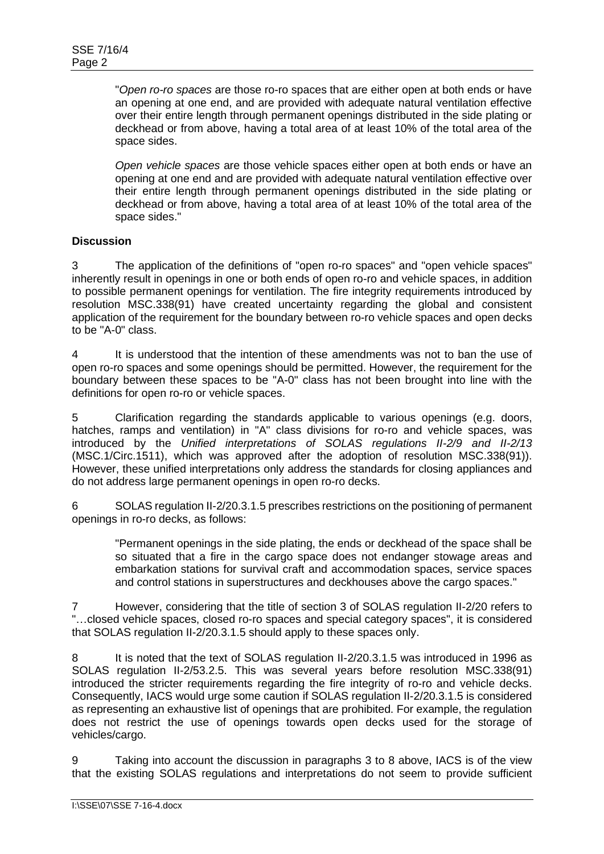"*Open ro-ro spaces* are those ro-ro spaces that are either open at both ends or have an opening at one end, and are provided with adequate natural ventilation effective over their entire length through permanent openings distributed in the side plating or deckhead or from above, having a total area of at least 10% of the total area of the space sides.

*Open vehicle spaces* are those vehicle spaces either open at both ends or have an opening at one end and are provided with adequate natural ventilation effective over their entire length through permanent openings distributed in the side plating or deckhead or from above, having a total area of at least 10% of the total area of the space sides."

# **Discussion**

3 The application of the definitions of "open ro-ro spaces" and "open vehicle spaces" inherently result in openings in one or both ends of open ro-ro and vehicle spaces, in addition to possible permanent openings for ventilation. The fire integrity requirements introduced by resolution MSC.338(91) have created uncertainty regarding the global and consistent application of the requirement for the boundary between ro-ro vehicle spaces and open decks to be "A-0" class.

4 It is understood that the intention of these amendments was not to ban the use of open ro-ro spaces and some openings should be permitted. However, the requirement for the boundary between these spaces to be "A-0" class has not been brought into line with the definitions for open ro-ro or vehicle spaces.

5 Clarification regarding the standards applicable to various openings (e.g. doors, hatches, ramps and ventilation) in "A" class divisions for ro-ro and vehicle spaces, was introduced by the *Unified interpretations of SOLAS regulations II-2/9 and II-2/13* (MSC.1/Circ.1511), which was approved after the adoption of resolution MSC.338(91)). However, these unified interpretations only address the standards for closing appliances and do not address large permanent openings in open ro-ro decks.

6 SOLAS regulation II-2/20.3.1.5 prescribes restrictions on the positioning of permanent openings in ro-ro decks, as follows:

"Permanent openings in the side plating, the ends or deckhead of the space shall be so situated that a fire in the cargo space does not endanger stowage areas and embarkation stations for survival craft and accommodation spaces, service spaces and control stations in superstructures and deckhouses above the cargo spaces."

7 However, considering that the title of section 3 of SOLAS regulation II-2/20 refers to "…closed vehicle spaces, closed ro-ro spaces and special category spaces", it is considered that SOLAS regulation II-2/20.3.1.5 should apply to these spaces only.

8 It is noted that the text of SOLAS regulation II-2/20.3.1.5 was introduced in 1996 as SOLAS regulation II-2/53.2.5. This was several years before resolution MSC.338(91) introduced the stricter requirements regarding the fire integrity of ro-ro and vehicle decks. Consequently, IACS would urge some caution if SOLAS regulation II-2/20.3.1.5 is considered as representing an exhaustive list of openings that are prohibited. For example, the regulation does not restrict the use of openings towards open decks used for the storage of vehicles/cargo.

9 Taking into account the discussion in paragraphs 3 to 8 above, IACS is of the view that the existing SOLAS regulations and interpretations do not seem to provide sufficient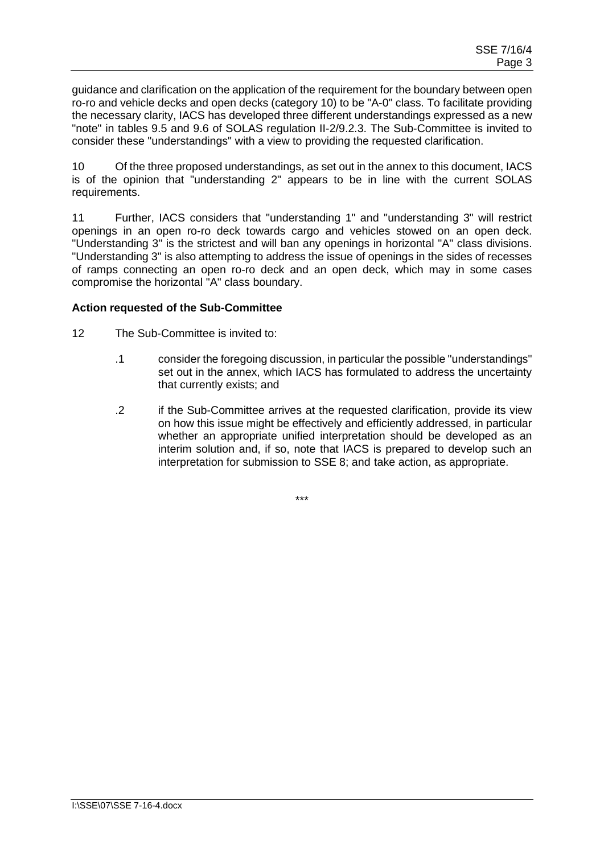guidance and clarification on the application of the requirement for the boundary between open ro-ro and vehicle decks and open decks (category 10) to be "A-0" class. To facilitate providing the necessary clarity, IACS has developed three different understandings expressed as a new "note" in tables 9.5 and 9.6 of SOLAS regulation II-2/9.2.3. The Sub-Committee is invited to consider these "understandings" with a view to providing the requested clarification.

10 Of the three proposed understandings, as set out in the annex to this document, IACS is of the opinion that "understanding 2" appears to be in line with the current SOLAS requirements.

11 Further, IACS considers that "understanding 1" and "understanding 3" will restrict openings in an open ro-ro deck towards cargo and vehicles stowed on an open deck. "Understanding 3" is the strictest and will ban any openings in horizontal "A" class divisions. "Understanding 3" is also attempting to address the issue of openings in the sides of recesses of ramps connecting an open ro-ro deck and an open deck, which may in some cases compromise the horizontal "A" class boundary.

## **Action requested of the Sub-Committee**

- 12 The Sub-Committee is invited to:
	- .1 consider the foregoing discussion, in particular the possible "understandings" set out in the annex, which IACS has formulated to address the uncertainty that currently exists; and
	- .2 if the Sub-Committee arrives at the requested clarification, provide its view on how this issue might be effectively and efficiently addressed, in particular whether an appropriate unified interpretation should be developed as an interim solution and, if so, note that IACS is prepared to develop such an interpretation for submission to SSE 8; and take action, as appropriate.

\*\*\*